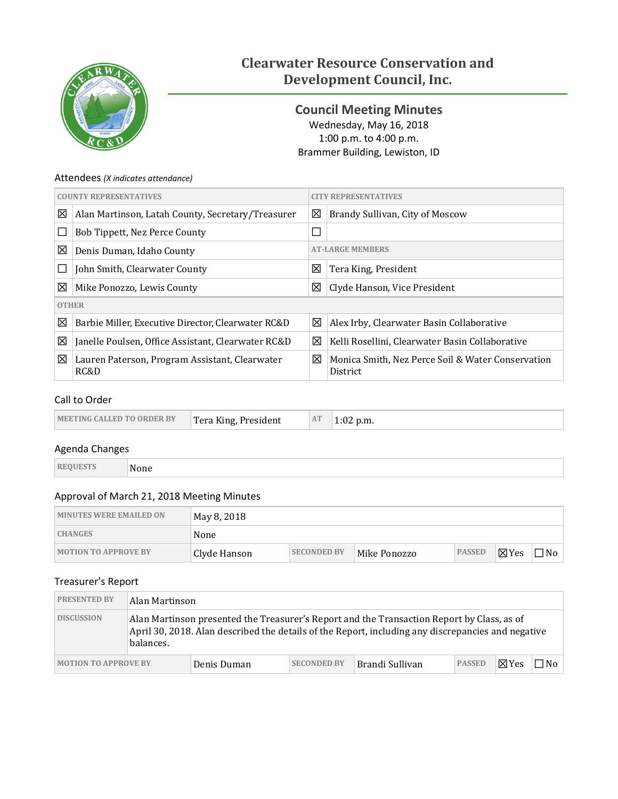

# **Clearwater Resource Conservation and Development Council, Inc.**

<span id="page-0-0"></span>**Council Meeting Minutes** Wednesday, May 16, 2018 1:00 p.m. to 4:00 p.m. Brammer Building, Lewiston, ID

#### Attendees *(X indicates attendance)*

| <b>COUNTY REPRESENTATIVES</b> |                                                        | <b>CITY REPRESENTATIVES</b> |                                                               |  |
|-------------------------------|--------------------------------------------------------|-----------------------------|---------------------------------------------------------------|--|
| 図                             | Alan Martinson, Latah County, Secretary/Treasurer      | 区                           | Brandy Sullivan, City of Moscow                               |  |
| $\mathbf{L}$                  | Bob Tippett, Nez Perce County                          | $\Box$                      |                                                               |  |
| 図                             | Denis Duman, Idaho County                              | <b>AT-LARGE MEMBERS</b>     |                                                               |  |
|                               | John Smith, Clearwater County                          | 図                           | Tera King, President                                          |  |
| 図                             | Mike Ponozzo, Lewis County                             | 区                           | Clyde Hanson, Vice President                                  |  |
| <b>OTHER</b>                  |                                                        |                             |                                                               |  |
| 図                             | Barbie Miller, Executive Director, Clearwater RC&D     | 区                           | Alex Irby, Clearwater Basin Collaborative                     |  |
| 図                             | Janelle Poulsen, Office Assistant, Clearwater RC&D     | 区                           | Kelli Rosellini, Clearwater Basin Collaborative               |  |
| 図                             | Lauren Paterson, Program Assistant, Clearwater<br>RC&D | 区                           | Monica Smith, Nez Perce Soil & Water Conservation<br>District |  |

### Call to Order

| <b>MEETING CALLED TO ORDER BY</b> | Tera King, President | AT | $1:02$ p.m. |
|-----------------------------------|----------------------|----|-------------|
|-----------------------------------|----------------------|----|-------------|

#### Agenda Changes

| R1 | $ -$<br>эпе<br>M. |  |  |  |  |
|----|-------------------|--|--|--|--|
|----|-------------------|--|--|--|--|

### Approval of March 21, 2018 Meeting Minutes

| <b>MINUTES WERE EMAILED ON</b> | May 8, 2018  |                    |              |               |                 |                       |
|--------------------------------|--------------|--------------------|--------------|---------------|-----------------|-----------------------|
| <b>CHANGES</b>                 | None         |                    |              |               |                 |                       |
| <b>MOTION TO APPROVE BY</b>    | Clyde Hanson | <b>SECONDED BY</b> | Mike Ponozzo | <b>PASSED</b> | $\boxtimes$ Yes | $\Box$ No $\parallel$ |

#### Treasurer's Report

| <b>PRESENTED BY</b>         | Alan Martinson                                                                                                                                                                                                |             |                    |                 |               |                 |     |
|-----------------------------|---------------------------------------------------------------------------------------------------------------------------------------------------------------------------------------------------------------|-------------|--------------------|-----------------|---------------|-----------------|-----|
| <b>DISCUSSION</b>           | Alan Martinson presented the Treasurer's Report and the Transaction Report by Class, as of<br>April 30, 2018. Alan described the details of the Report, including any discrepancies and negative<br>balances. |             |                    |                 |               |                 |     |
| <b>MOTION TO APPROVE BY</b> |                                                                                                                                                                                                               | Denis Duman | <b>SECONDED BY</b> | Brandi Sullivan | <b>PASSED</b> | $\boxtimes$ Yes | ⊣No |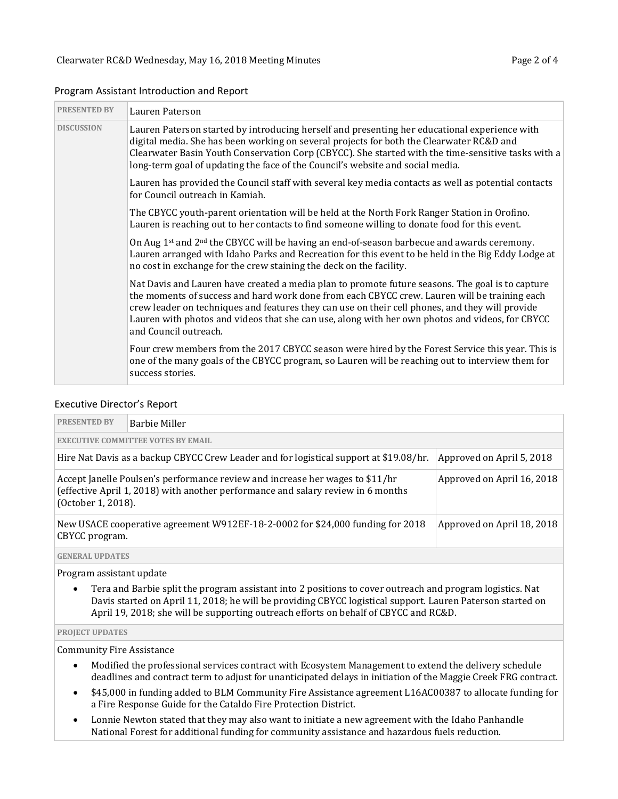| <b>PRESENTED BY</b> | Lauren Paterson                                                                                                                                                                                                                                                                                                                                                                                                                 |
|---------------------|---------------------------------------------------------------------------------------------------------------------------------------------------------------------------------------------------------------------------------------------------------------------------------------------------------------------------------------------------------------------------------------------------------------------------------|
| <b>DISCUSSION</b>   | Lauren Paterson started by introducing herself and presenting her educational experience with<br>digital media. She has been working on several projects for both the Clearwater RC&D and<br>Clearwater Basin Youth Conservation Corp (CBYCC). She started with the time-sensitive tasks with a<br>long-term goal of updating the face of the Council's website and social media.                                               |
|                     | Lauren has provided the Council staff with several key media contacts as well as potential contacts<br>for Council outreach in Kamiah.                                                                                                                                                                                                                                                                                          |
|                     | The CBYCC youth-parent orientation will be held at the North Fork Ranger Station in Orofino.<br>Lauren is reaching out to her contacts to find someone willing to donate food for this event.                                                                                                                                                                                                                                   |
|                     | On Aug 1 <sup>st</sup> and 2 <sup>nd</sup> the CBYCC will be having an end-of-season barbecue and awards ceremony.<br>Lauren arranged with Idaho Parks and Recreation for this event to be held in the Big Eddy Lodge at<br>no cost in exchange for the crew staining the deck on the facility.                                                                                                                                 |
|                     | Nat Davis and Lauren have created a media plan to promote future seasons. The goal is to capture<br>the moments of success and hard work done from each CBYCC crew. Lauren will be training each<br>crew leader on techniques and features they can use on their cell phones, and they will provide<br>Lauren with photos and videos that she can use, along with her own photos and videos, for CBYCC<br>and Council outreach. |
|                     | Four crew members from the 2017 CBYCC season were hired by the Forest Service this year. This is<br>one of the many goals of the CBYCC program, so Lauren will be reaching out to interview them for<br>success stories.                                                                                                                                                                                                        |

#### Program Assistant Introduction and Report

#### Executive Director's Report

| <b>PRESENTED BY</b>                                                                                                 | Barbie Miller                                                                                                                                                                                                         |  |  |  |  |  |
|---------------------------------------------------------------------------------------------------------------------|-----------------------------------------------------------------------------------------------------------------------------------------------------------------------------------------------------------------------|--|--|--|--|--|
| <b>EXECUTIVE COMMITTEE VOTES BY EMAIL</b>                                                                           |                                                                                                                                                                                                                       |  |  |  |  |  |
| Hire Nat Davis as a backup CBYCC Crew Leader and for logistical support at \$19.08/hr.<br>Approved on April 5, 2018 |                                                                                                                                                                                                                       |  |  |  |  |  |
|                                                                                                                     | Accept Janelle Poulsen's performance review and increase her wages to \$11/hr<br>Approved on April 16, 2018<br>(effective April 1, 2018) with another performance and salary review in 6 months<br>(October 1, 2018). |  |  |  |  |  |
| CBYCC program.                                                                                                      | New USACE cooperative agreement W912EF-18-2-0002 for \$24,000 funding for 2018<br>Approved on April 18, 2018                                                                                                          |  |  |  |  |  |
|                                                                                                                     |                                                                                                                                                                                                                       |  |  |  |  |  |

**GENERAL UPDATES**

Program assistant update

• Tera and Barbie split the program assistant into 2 positions to cover outreach and program logistics. Nat Davis started on April 11, 2018; he will be providing CBYCC logistical support. Lauren Paterson started on April 19, 2018; she will be supporting outreach efforts on behalf of CBYCC and RC&D.

#### **PROJECT UPDATES**

Community Fire Assistance

- Modified the professional services contract with Ecosystem Management to extend the delivery schedule deadlines and contract term to adjust for unanticipated delays in initiation of the Maggie Creek FRG contract.
- \$45,000 in funding added to BLM Community Fire Assistance agreement L16AC00387 to allocate funding for a Fire Response Guide for the Cataldo Fire Protection District.
- Lonnie Newton stated that they may also want to initiate a new agreement with the Idaho Panhandle National Forest for additional funding for community assistance and hazardous fuels reduction.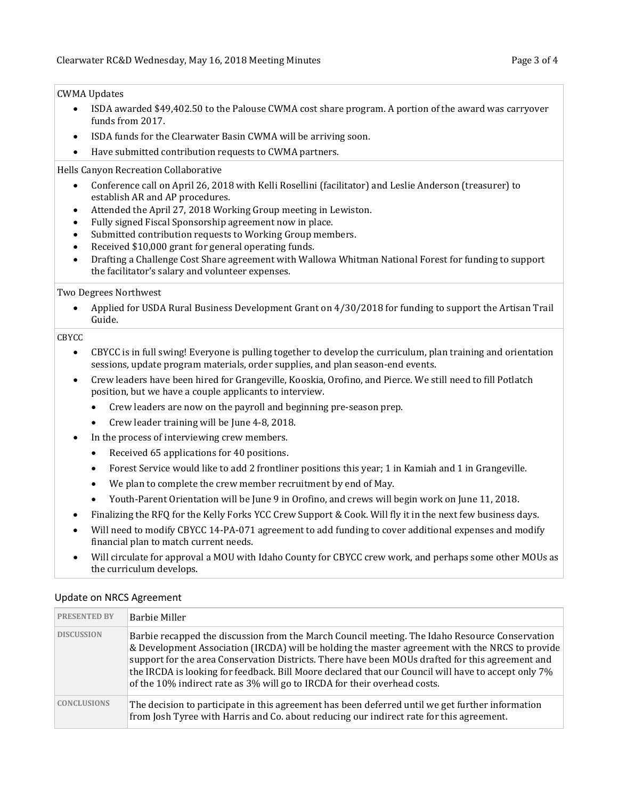#### CWMA Updates

- ISDA awarded \$49,402.50 to the Palouse CWMA cost share program. A portion of the award was carryover funds from 2017.
- ISDA funds for the Clearwater Basin CWMA will be arriving soon.
- Have submitted contribution requests to CWMA partners.

#### Hells Canyon Recreation Collaborative

- Conference call on April 26, 2018 with Kelli Rosellini (facilitator) and Leslie Anderson (treasurer) to establish AR and AP procedures.
- Attended the April 27, 2018 Working Group meeting in Lewiston.
- Fully signed Fiscal Sponsorship agreement now in place.
- Submitted contribution requests to Working Group members.
- Received \$10,000 grant for general operating funds.
- Drafting a Challenge Cost Share agreement with Wallowa Whitman National Forest for funding to support the facilitator's salary and volunteer expenses.

#### Two Degrees Northwest

• Applied for USDA Rural Business Development Grant on 4/30/2018 for funding to support the Artisan Trail Guide.

#### CBYCC

- CBYCC is in full swing! Everyone is pulling together to develop the curriculum, plan training and orientation sessions, update program materials, order supplies, and plan season-end events.
- Crew leaders have been hired for Grangeville, Kooskia, Orofino, and Pierce. We still need to fill Potlatch position, but we have a couple applicants to interview.
	- Crew leaders are now on the payroll and beginning pre-season prep.
	- Crew leader training will be June 4-8, 2018.
- In the process of interviewing crew members.
	- Received 65 applications for 40 positions.
	- Forest Service would like to add 2 frontliner positions this year; 1 in Kamiah and 1 in Grangeville.
	- We plan to complete the crew member recruitment by end of May.
	- Youth-Parent Orientation will be June 9 in Orofino, and crews will begin work on June 11, 2018.
- Finalizing the RFQ for the Kelly Forks YCC Crew Support & Cook. Will fly it in the next few business days.
- Will need to modify CBYCC 14-PA-071 agreement to add funding to cover additional expenses and modify financial plan to match current needs.
- Will circulate for approval a MOU with Idaho County for CBYCC crew work, and perhaps some other MOUs as the curriculum develops.

| <b>PRESENTED BY</b> | Barbie Miller                                                                                                                                                                                                                                                                                                                                                                                                                                                                             |
|---------------------|-------------------------------------------------------------------------------------------------------------------------------------------------------------------------------------------------------------------------------------------------------------------------------------------------------------------------------------------------------------------------------------------------------------------------------------------------------------------------------------------|
| <b>DISCUSSION</b>   | Barbie recapped the discussion from the March Council meeting. The Idaho Resource Conservation<br>& Development Association (IRCDA) will be holding the master agreement with the NRCS to provide<br>support for the area Conservation Districts. There have been MOUs drafted for this agreement and<br>the IRCDA is looking for feedback. Bill Moore declared that our Council will have to accept only 7%<br>of the 10% indirect rate as 3% will go to IRCDA for their overhead costs. |
| <b>CONCLUSIONS</b>  | The decision to participate in this agreement has been deferred until we get further information<br>from Josh Tyree with Harris and Co. about reducing our indirect rate for this agreement.                                                                                                                                                                                                                                                                                              |

#### Update on NRCS Agreement